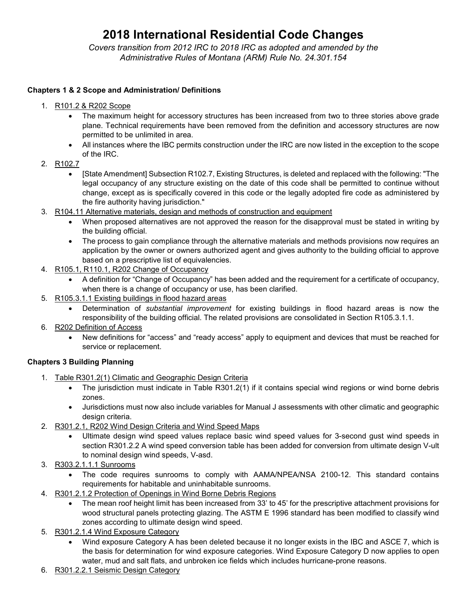# **2018 International Residential Code Changes**

*Covers transition from 2012 IRC to 2018 IRC as adopted and amended by the Administrative Rules of Montana (ARM) Rule No. 24.301.154*

# **Chapters 1 & 2 Scope and Administration/ Definitions**

- 1. R101.2 & R202 Scope
	- The maximum height for accessory structures has been increased from two to three stories above grade plane. Technical requirements have been removed from the definition and accessory structures are now permitted to be unlimited in area.
	- All instances where the IBC permits construction under the IRC are now listed in the exception to the scope of the IRC.
- 2. R102.7
	- [State Amendment] Subsection R102.7, Existing Structures, is deleted and replaced with the following: "The legal occupancy of any structure existing on the date of this code shall be permitted to continue without change, except as is specifically covered in this code or the legally adopted fire code as administered by the fire authority having jurisdiction."
- 3. R104.11 Alternative materials, design and methods of construction and equipment
	- When proposed alternatives are not approved the reason for the disapproval must be stated in writing by the building official.
	- The process to gain compliance through the alternative materials and methods provisions now requires an application by the owner or owners authorized agent and gives authority to the building official to approve based on a prescriptive list of equivalencies.
- 4. R105.1, R110.1, R202 Change of Occupancy
	- A definition for "Change of Occupancy" has been added and the requirement for a certificate of occupancy, when there is a change of occupancy or use, has been clarified.
- 5. R105.3.1.1 Existing buildings in flood hazard areas
	- Determination of *substantial improvement* for existing buildings in flood hazard areas is now the responsibility of the building official. The related provisions are consolidated in Section R105.3.1.1.
- 6. R202 Definition of Access
	- New definitions for "access" and "ready access" apply to equipment and devices that must be reached for service or replacement.

# **Chapters 3 Building Planning**

- 1. Table R301.2(1) Climatic and Geographic Design Criteria
	- The jurisdiction must indicate in Table R301.2(1) if it contains special wind regions or wind borne debris zones.
	- Jurisdictions must now also include variables for Manual J assessments with other climatic and geographic design criteria.
- 2. R301.2.1, R202 Wind Design Criteria and Wind Speed Maps
	- Ultimate design wind speed values replace basic wind speed values for 3-second gust wind speeds in section R301.2.2 A wind speed conversion table has been added for conversion from ultimate design V-ult to nominal design wind speeds, V-asd.
- 3. R303.2.1.1.1 Sunrooms
	- The code requires sunrooms to comply with AAMA/NPEA/NSA 2100-12. This standard contains requirements for habitable and uninhabitable sunrooms.
- 4. R301.2.1.2 Protection of Openings in Wind Borne Debris Regions
	- The mean roof height limit has been increased from 33' to 45' for the prescriptive attachment provisions for wood structural panels protecting glazing. The ASTM E 1996 standard has been modified to classify wind zones according to ultimate design wind speed.
- 5. R301.2.1.4 Wind Exposure Category
	- Wind exposure Category A has been deleted because it no longer exists in the IBC and ASCE 7, which is the basis for determination for wind exposure categories. Wind Exposure Category D now applies to open water, mud and salt flats, and unbroken ice fields which includes hurricane-prone reasons.
- 6. R301.2.2.1 Seismic Design Category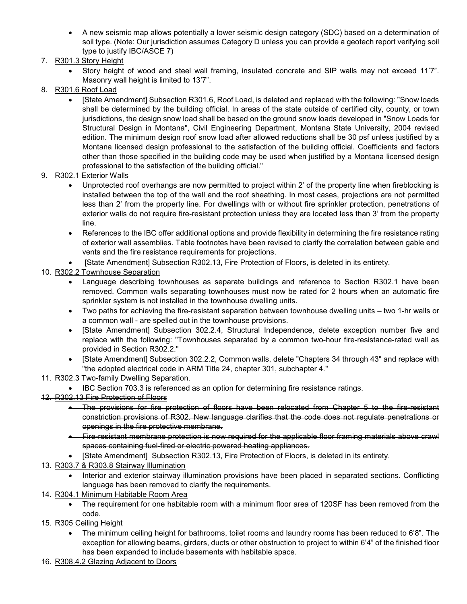- A new seismic map allows potentially a lower seismic design category (SDC) based on a determination of soil type. (Note: Our jurisdiction assumes Category D unless you can provide a geotech report verifying soil type to justify IBC/ASCE 7)
- 7. R301.3 Story Height
	- Story height of wood and steel wall framing, insulated concrete and SIP walls may not exceed 11'7". Masonry wall height is limited to 13'7".
- 8. R301.6 Roof Load
	- [State Amendment] Subsection R301.6, Roof Load, is deleted and replaced with the following: "Snow loads shall be determined by the building official. In areas of the state outside of certified city, county, or town jurisdictions, the design snow load shall be based on the ground snow loads developed in "Snow Loads for Structural Design in Montana", Civil Engineering Department, Montana State University, 2004 revised edition. The minimum design roof snow load after allowed reductions shall be 30 psf unless justified by a Montana licensed design professional to the satisfaction of the building official. Coefficients and factors other than those specified in the building code may be used when justified by a Montana licensed design professional to the satisfaction of the building official."
- 9. R302.1 Exterior Walls
	- Unprotected roof overhangs are now permitted to project within 2' of the property line when fireblocking is installed between the top of the wall and the roof sheathing. In most cases, projections are not permitted less than 2' from the property line. For dwellings with or without fire sprinkler protection, penetrations of exterior walls do not require fire-resistant protection unless they are located less than 3' from the property line.
	- References to the IBC offer additional options and provide flexibility in determining the fire resistance rating of exterior wall assemblies. Table footnotes have been revised to clarify the correlation between gable end vents and the fire resistance requirements for projections.
	- [State Amendment] Subsection R302.13, Fire Protection of Floors, is deleted in its entirety.
- 10. R302.2 Townhouse Separation
	- Language describing townhouses as separate buildings and reference to Section R302.1 have been removed. Common walls separating townhouses must now be rated for 2 hours when an automatic fire sprinkler system is not installed in the townhouse dwelling units.
	- Two paths for achieving the fire-resistant separation between townhouse dwelling units two 1-hr walls or a common wall - are spelled out in the townhouse provisions.
	- [State Amendment] Subsection 302.2.4, Structural Independence, delete exception number five and replace with the following: "Townhouses separated by a common two-hour fire-resistance-rated wall as provided in Section R302.2."
	- [State Amendment] Subsection 302.2.2, Common walls, delete "Chapters 34 through 43" and replace with "the adopted electrical code in ARM Title 24, chapter 301, subchapter 4."
- 11. R302.3 Two-family Dwelling Separation.
- IBC Section 703.3 is referenced as an option for determining fire resistance ratings.
- 12. R302.13 Fire Protection of Floors
	- The provisions for fire protection of floors have been relocated from Chapter 5 to the fire-resistant constriction provisions of R302. New language clarifies that the code does not regulate penetrations or openings in the fire protective membrane.
	- Fire-resistant membrane protection is now required for the applicable floor framing materials above crawl spaces containing fuel-fired or electric powered heating appliances.
	- [State Amendment] Subsection R302.13, Fire Protection of Floors, is deleted in its entirety.
- 13. R303.7 & R303.8 Stairway Illumination
	- Interior and exterior stairway illumination provisions have been placed in separated sections. Conflicting language has been removed to clarify the requirements.
- 14. R304.1 Minimum Habitable Room Area
	- The requirement for one habitable room with a minimum floor area of 120SF has been removed from the code.
- 15. R305 Ceiling Height
	- The minimum ceiling height for bathrooms, toilet rooms and laundry rooms has been reduced to 6'8". The exception for allowing beams, girders, ducts or other obstruction to project to within 6'4" of the finished floor has been expanded to include basements with habitable space.
- 16. R308.4.2 Glazing Adjacent to Doors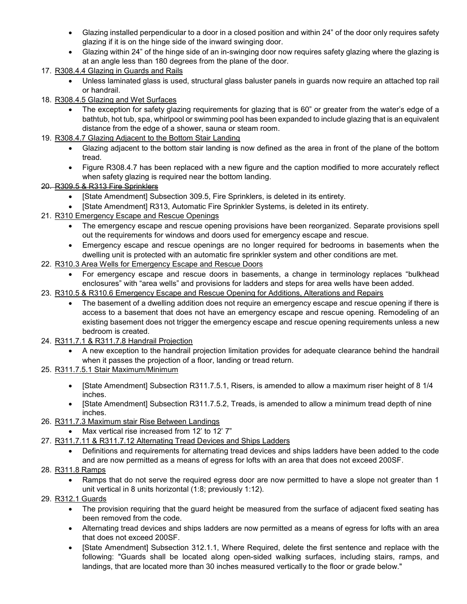- Glazing installed perpendicular to a door in a closed position and within 24" of the door only requires safety glazing if it is on the hinge side of the inward swinging door.
- Glazing within 24" of the hinge side of an in-swinging door now requires safety glazing where the glazing is at an angle less than 180 degrees from the plane of the door.
- 17. R308.4.4 Glazing in Guards and Rails
	- Unless laminated glass is used, structural glass baluster panels in guards now require an attached top rail or handrail.
- 18. R308.4.5 Glazing and Wet Surfaces
	- The exception for safety glazing requirements for glazing that is 60" or greater from the water's edge of a bathtub, hot tub, spa, whirlpool or swimming pool has been expanded to include glazing that is an equivalent distance from the edge of a shower, sauna or steam room.
- 19. R308.4.7 Glazing Adjacent to the Bottom Stair Landing
	- Glazing adjacent to the bottom stair landing is now defined as the area in front of the plane of the bottom tread.
	- Figure R308.4.7 has been replaced with a new figure and the caption modified to more accurately reflect when safety glazing is required near the bottom landing.
- 20. R309.5 & R313 Fire Sprinklers
	- [State Amendment] Subsection 309.5, Fire Sprinklers, is deleted in its entirety.
	- [State Amendment] R313, Automatic Fire Sprinkler Systems, is deleted in its entirety.
- 21. R310 Emergency Escape and Rescue Openings
	- The emergency escape and rescue opening provisions have been reorganized. Separate provisions spell out the requirements for windows and doors used for emergency escape and rescue.
	- Emergency escape and rescue openings are no longer required for bedrooms in basements when the dwelling unit is protected with an automatic fire sprinkler system and other conditions are met.
- 22. R310.3 Area Wells for Emergency Escape and Rescue Doors
	- For emergency escape and rescue doors in basements, a change in terminology replaces "bulkhead enclosures" with "area wells" and provisions for ladders and steps for area wells have been added.
- 23. R310.5 & R310.6 Emergency Escape and Rescue Opening for Additions, Alterations and Repairs
	- The basement of a dwelling addition does not require an emergency escape and rescue opening if there is access to a basement that does not have an emergency escape and rescue opening. Remodeling of an existing basement does not trigger the emergency escape and rescue opening requirements unless a new bedroom is created.
- 24. R311.7.1 & R311.7.8 Handrail Projection
	- A new exception to the handrail projection limitation provides for adequate clearance behind the handrail when it passes the projection of a floor, landing or tread return.
- 25. R311.7.5.1 Stair Maximum/Minimum
	- [State Amendment] Subsection R311.7.5.1, Risers, is amended to allow a maximum riser height of 8 1/4 inches.
	- [State Amendment] Subsection R311.7.5.2, Treads, is amended to allow a minimum tread depth of nine inches.
- 26. R311.7.3 Maximum stair Rise Between Landings
	- Max vertical rise increased from 12' to 12' 7"
- 27. R311.7.11 & R311.7.12 Alternating Tread Devices and Ships Ladders
	- Definitions and requirements for alternating tread devices and ships ladders have been added to the code and are now permitted as a means of egress for lofts with an area that does not exceed 200SF.
- 28. R311.8 Ramps
	- Ramps that do not serve the required egress door are now permitted to have a slope not greater than 1 unit vertical in 8 units horizontal (1:8; previously 1:12).
- 29. R312.1 Guards
	- The provision requiring that the guard height be measured from the surface of adjacent fixed seating has been removed from the code.
	- Alternating tread devices and ships ladders are now permitted as a means of egress for lofts with an area that does not exceed 200SF.
	- [State Amendment] Subsection 312.1.1, Where Required, delete the first sentence and replace with the following: "Guards shall be located along open-sided walking surfaces, including stairs, ramps, and landings, that are located more than 30 inches measured vertically to the floor or grade below."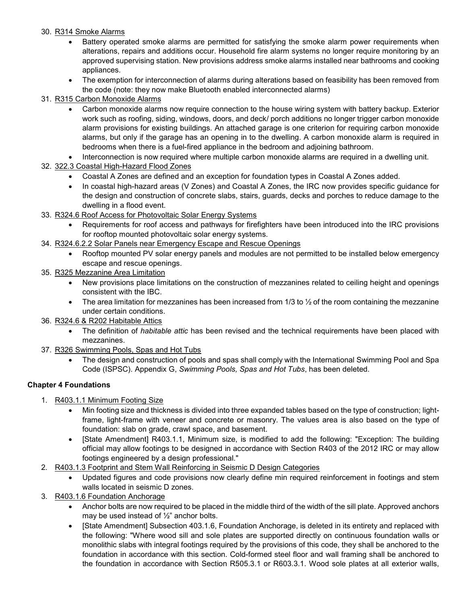#### 30. R314 Smoke Alarms

- Battery operated smoke alarms are permitted for satisfying the smoke alarm power requirements when alterations, repairs and additions occur. Household fire alarm systems no longer require monitoring by an approved supervising station. New provisions address smoke alarms installed near bathrooms and cooking appliances.
- The exemption for interconnection of alarms during alterations based on feasibility has been removed from the code (note: they now make Bluetooth enabled interconnected alarms)
- 31. R315 Carbon Monoxide Alarms
	- Carbon monoxide alarms now require connection to the house wiring system with battery backup. Exterior work such as roofing, siding, windows, doors, and deck/ porch additions no longer trigger carbon monoxide alarm provisions for existing buildings. An attached garage is one criterion for requiring carbon monoxide alarms, but only if the garage has an opening in to the dwelling. A carbon monoxide alarm is required in bedrooms when there is a fuel-fired appliance in the bedroom and adjoining bathroom.
	- Interconnection is now required where multiple carbon monoxide alarms are required in a dwelling unit.
- 32. 322.3 Coastal High-Hazard Flood Zones
	- Coastal A Zones are defined and an exception for foundation types in Coastal A Zones added.
	- In coastal high-hazard areas (V Zones) and Coastal A Zones, the IRC now provides specific guidance for the design and construction of concrete slabs, stairs, guards, decks and porches to reduce damage to the dwelling in a flood event.
- 33. R324.6 Roof Access for Photovoltaic Solar Energy Systems
	- Requirements for roof access and pathways for firefighters have been introduced into the IRC provisions for rooftop mounted photovoltaic solar energy systems.
- 34. R324.6.2.2 Solar Panels near Emergency Escape and Rescue Openings
	- Rooftop mounted PV solar energy panels and modules are not permitted to be installed below emergency escape and rescue openings.
- 35. R325 Mezzanine Area Limitation
	- New provisions place limitations on the construction of mezzanines related to ceiling height and openings consistent with the IBC.
	- The area limitation for mezzanines has been increased from  $1/3$  to  $\frac{1}{2}$  of the room containing the mezzanine under certain conditions.
- 36. R324.6 & R202 Habitable Attics
	- The definition of *habitable attic* has been revised and the technical requirements have been placed with mezzanines.
- 37. R326 Swimming Pools, Spas and Hot Tubs
	- The design and construction of pools and spas shall comply with the International Swimming Pool and Spa Code (ISPSC). Appendix G, *Swimming Pools, Spas and Hot Tubs*, has been deleted.

# **Chapter 4 Foundations**

- 1. R403.1.1 Minimum Footing Size
	- Min footing size and thickness is divided into three expanded tables based on the type of construction; lightframe, light-frame with veneer and concrete or masonry. The values area is also based on the type of foundation: slab on grade, crawl space, and basement.
	- [State Amendment] R403.1.1, Minimum size, is modified to add the following: "Exception: The building official may allow footings to be designed in accordance with Section R403 of the 2012 IRC or may allow footings engineered by a design professional."
- 2. R403.1.3 Footprint and Stem Wall Reinforcing in Seismic D Design Categories
	- Updated figures and code provisions now clearly define min required reinforcement in footings and stem walls located in seismic D zones.
- 3. R403.1.6 Foundation Anchorage
	- Anchor bolts are now required to be placed in the middle third of the width of the sill plate. Approved anchors may be used instead of ½" anchor bolts.
	- [State Amendment] Subsection 403.1.6, Foundation Anchorage, is deleted in its entirety and replaced with the following: "Where wood sill and sole plates are supported directly on continuous foundation walls or monolithic slabs with integral footings required by the provisions of this code, they shall be anchored to the foundation in accordance with this section. Cold-formed steel floor and wall framing shall be anchored to the foundation in accordance with Section R505.3.1 or R603.3.1. Wood sole plates at all exterior walls,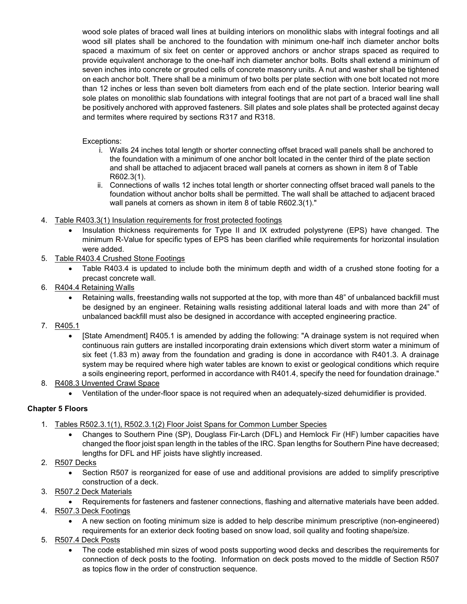wood sole plates of braced wall lines at building interiors on monolithic slabs with integral footings and all wood sill plates shall be anchored to the foundation with minimum one-half inch diameter anchor bolts spaced a maximum of six feet on center or approved anchors or anchor straps spaced as required to provide equivalent anchorage to the one-half inch diameter anchor bolts. Bolts shall extend a minimum of seven inches into concrete or grouted cells of concrete masonry units. A nut and washer shall be tightened on each anchor bolt. There shall be a minimum of two bolts per plate section with one bolt located not more than 12 inches or less than seven bolt diameters from each end of the plate section. Interior bearing wall sole plates on monolithic slab foundations with integral footings that are not part of a braced wall line shall be positively anchored with approved fasteners. Sill plates and sole plates shall be protected against decay and termites where required by sections R317 and R318.

#### Exceptions:

- i. Walls 24 inches total length or shorter connecting offset braced wall panels shall be anchored to the foundation with a minimum of one anchor bolt located in the center third of the plate section and shall be attached to adjacent braced wall panels at corners as shown in item 8 of Table R602.3(1).
- ii. Connections of walls 12 inches total length or shorter connecting offset braced wall panels to the foundation without anchor bolts shall be permitted. The wall shall be attached to adjacent braced wall panels at corners as shown in item 8 of table R602.3(1)."
- 4. Table R403.3(1) Insulation requirements for frost protected footings
	- Insulation thickness requirements for Type II and IX extruded polystyrene (EPS) have changed. The minimum R-Value for specific types of EPS has been clarified while requirements for horizontal insulation were added.
- 5. Table R403.4 Crushed Stone Footings
	- Table R403.4 is updated to include both the minimum depth and width of a crushed stone footing for a precast concrete wall.
- 6. R404.4 Retaining Walls
	- Retaining walls, freestanding walls not supported at the top, with more than 48" of unbalanced backfill must be designed by an engineer. Retaining walls resisting additional lateral loads and with more than 24" of unbalanced backfill must also be designed in accordance with accepted engineering practice.
- 7. R405.1
	- [State Amendment] R405.1 is amended by adding the following: "A drainage system is not required when continuous rain gutters are installed incorporating drain extensions which divert storm water a minimum of six feet (1.83 m) away from the foundation and grading is done in accordance with R401.3. A drainage system may be required where high water tables are known to exist or geological conditions which require a soils engineering report, performed in accordance with R401.4, specify the need for foundation drainage."
- 8. R408.3 Unvented Crawl Space
	- Ventilation of the under-floor space is not required when an adequately-sized dehumidifier is provided.

# **Chapter 5 Floors**

- 1. Tables R502.3.1(1), R502.3.1(2) Floor Joist Spans for Common Lumber Species
	- Changes to Southern Pine (SP), Douglass Fir-Larch (DFL) and Hemlock Fir (HF) lumber capacities have changed the floor joist span length in the tables of the IRC. Span lengths for Southern Pine have decreased; lengths for DFL and HF joists have slightly increased.
- 2. R507 Decks
	- Section R507 is reorganized for ease of use and additional provisions are added to simplify prescriptive construction of a deck.
- 3. R507.2 Deck Materials
	- Requirements for fasteners and fastener connections, flashing and alternative materials have been added.
- 4. R507.3 Deck Footings
	- A new section on footing minimum size is added to help describe minimum prescriptive (non-engineered) requirements for an exterior deck footing based on snow load, soil quality and footing shape/size.
- 5. R507.4 Deck Posts
	- The code established min sizes of wood posts supporting wood decks and describes the requirements for connection of deck posts to the footing. Information on deck posts moved to the middle of Section R507 as topics flow in the order of construction sequence.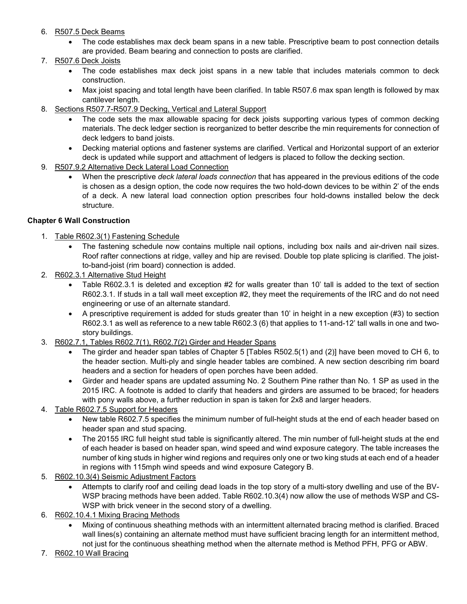- 6. R507.5 Deck Beams
	- The code establishes max deck beam spans in a new table. Prescriptive beam to post connection details are provided. Beam bearing and connection to posts are clarified.
- 7. R507.6 Deck Joists
	- The code establishes max deck joist spans in a new table that includes materials common to deck construction.
	- Max joist spacing and total length have been clarified. In table R507.6 max span length is followed by max cantilever length.
- 8. Sections R507.7-R507.9 Decking, Vertical and Lateral Support
	- The code sets the max allowable spacing for deck joists supporting various types of common decking materials. The deck ledger section is reorganized to better describe the min requirements for connection of deck ledgers to band joists.
	- Decking material options and fastener systems are clarified. Vertical and Horizontal support of an exterior deck is updated while support and attachment of ledgers is placed to follow the decking section.
- 9. R507.9.2 Alternative Deck Lateral Load Connection
	- When the prescriptive *deck lateral loads connection* that has appeared in the previous editions of the code is chosen as a design option, the code now requires the two hold-down devices to be within 2' of the ends of a deck. A new lateral load connection option prescribes four hold-downs installed below the deck structure.

#### **Chapter 6 Wall Construction**

- 1. Table R602.3(1) Fastening Schedule
	- The fastening schedule now contains multiple nail options, including box nails and air-driven nail sizes. Roof rafter connections at ridge, valley and hip are revised. Double top plate splicing is clarified. The joistto-band-joist (rim board) connection is added.
- 2. R602.3.1 Alternative Stud Height
	- Table R602.3.1 is deleted and exception #2 for walls greater than 10' tall is added to the text of section R602.3.1. If studs in a tall wall meet exception #2, they meet the requirements of the IRC and do not need engineering or use of an alternate standard.
	- A prescriptive requirement is added for studs greater than 10' in height in a new exception (#3) to section R602.3.1 as well as reference to a new table R602.3 (6) that applies to 11-and-12' tall walls in one and twostory buildings.
- 3. R602.7.1, Tables R602.7(1), R602.7(2) Girder and Header Spans
	- The girder and header span tables of Chapter 5 [Tables R502.5(1) and (2)] have been moved to CH 6, to the header section. Multi-ply and single header tables are combined. A new section describing rim board headers and a section for headers of open porches have been added.
	- Girder and header spans are updated assuming No. 2 Southern Pine rather than No. 1 SP as used in the 2015 IRC. A footnote is added to clarify that headers and girders are assumed to be braced; for headers with pony walls above, a further reduction in span is taken for 2x8 and larger headers.
- 4. Table R602.7.5 Support for Headers
	- New table R602.7.5 specifies the minimum number of full-height studs at the end of each header based on header span and stud spacing.
	- The 20155 IRC full height stud table is significantly altered. The min number of full-height studs at the end of each header is based on header span, wind speed and wind exposure category. The table increases the number of king studs in higher wind regions and requires only one or two king studs at each end of a header in regions with 115mph wind speeds and wind exposure Category B.
- 5. R602.10.3(4) Seismic Adjustment Factors
	- Attempts to clarify roof and ceiling dead loads in the top story of a multi-story dwelling and use of the BV-WSP bracing methods have been added. Table R602.10.3(4) now allow the use of methods WSP and CS-WSP with brick veneer in the second story of a dwelling.
- 6. R602.10.4.1 Mixing Bracing Methods
	- Mixing of continuous sheathing methods with an intermittent alternated bracing method is clarified. Braced wall lines(s) containing an alternate method must have sufficient bracing length for an intermittent method, not just for the continuous sheathing method when the alternate method is Method PFH, PFG or ABW.
- 7. R602.10 Wall Bracing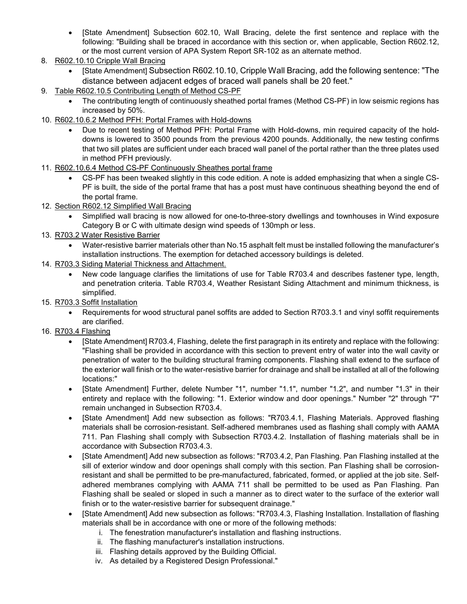- [State Amendment] Subsection 602.10, Wall Bracing, delete the first sentence and replace with the following: "Building shall be braced in accordance with this section or, when applicable, Section R602.12, or the most current version of APA System Report SR-102 as an alternate method.
- 8. R602.10.10 Cripple Wall Bracing
	- [State Amendment] Subsection R602.10.10, Cripple Wall Bracing, add the following sentence: "The distance between adjacent edges of braced wall panels shall be 20 feet."
- 9. Table R602.10.5 Contributing Length of Method CS-PF
	- The contributing length of continuously sheathed portal frames (Method CS-PF) in low seismic regions has increased by 50%.
- 10. R602.10.6.2 Method PFH: Portal Frames with Hold-downs
	- Due to recent testing of Method PFH: Portal Frame with Hold-downs, min required capacity of the holddowns is lowered to 3500 pounds from the previous 4200 pounds. Additionally, the new testing confirms that two sill plates are sufficient under each braced wall panel of the portal rather than the three plates used in method PFH previously.
- 11. R602.10.6.4 Method CS-PF Continuously Sheathes portal frame
	- CS-PF has been tweaked slightly in this code edition. A note is added emphasizing that when a single CS-PF is built, the side of the portal frame that has a post must have continuous sheathing beyond the end of the portal frame.
- 12. Section R602.12 Simplified Wall Bracing
	- Simplified wall bracing is now allowed for one-to-three-story dwellings and townhouses in Wind exposure Category B or C with ultimate design wind speeds of 130mph or less.
- 13. R703.2 Water Resistive Barrier
	- Water-resistive barrier materials other than No.15 asphalt felt must be installed following the manufacturer's installation instructions. The exemption for detached accessory buildings is deleted.
- 14. R703.3 Siding Material Thickness and Attachment.
	- New code language clarifies the limitations of use for Table R703.4 and describes fastener type, length, and penetration criteria. Table R703.4, Weather Resistant Siding Attachment and minimum thickness, is simplified.
- 15. R703.3 Soffit Installation
	- Requirements for wood structural panel soffits are added to Section R703.3.1 and vinyl soffit requirements are clarified.
- 16. R703.4 Flashing
	- [State Amendment] R703.4, Flashing, delete the first paragraph in its entirety and replace with the following: "Flashing shall be provided in accordance with this section to prevent entry of water into the wall cavity or penetration of water to the building structural framing components. Flashing shall extend to the surface of the exterior wall finish or to the water-resistive barrier for drainage and shall be installed at all of the following locations:"
	- [State Amendment] Further, delete Number "1", number "1.1", number "1.2", and number "1.3" in their entirety and replace with the following: "1. Exterior window and door openings." Number "2" through "7" remain unchanged in Subsection R703.4.
	- [State Amendment] Add new subsection as follows: "R703.4.1, Flashing Materials. Approved flashing materials shall be corrosion-resistant. Self-adhered membranes used as flashing shall comply with AAMA 711. Pan Flashing shall comply with Subsection R703.4.2. Installation of flashing materials shall be in accordance with Subsection R703.4.3.
	- [State Amendment] Add new subsection as follows: "R703.4.2, Pan Flashing. Pan Flashing installed at the sill of exterior window and door openings shall comply with this section. Pan Flashing shall be corrosionresistant and shall be permitted to be pre-manufactured, fabricated, formed, or applied at the job site. Selfadhered membranes complying with AAMA 711 shall be permitted to be used as Pan Flashing. Pan Flashing shall be sealed or sloped in such a manner as to direct water to the surface of the exterior wall finish or to the water-resistive barrier for subsequent drainage."
	- [State Amendment] Add new subsection as follows: "R703.4.3, Flashing Installation. Installation of flashing materials shall be in accordance with one or more of the following methods:
		- i. The fenestration manufacturer's installation and flashing instructions.
		- ii. The flashing manufacturer's installation instructions.
		- iii. Flashing details approved by the Building Official.
		- iv. As detailed by a Registered Design Professional."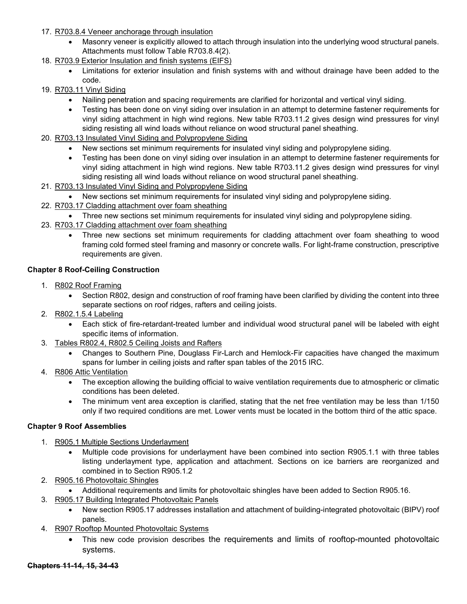- 17. R703.8.4 Veneer anchorage through insulation
	- Masonry veneer is explicitly allowed to attach through insulation into the underlying wood structural panels. Attachments must follow Table R703.8.4(2).
- 18. R703.9 Exterior Insulation and finish systems (EIFS)
	- Limitations for exterior insulation and finish systems with and without drainage have been added to the code.
- 19. R703.11 Vinyl Siding
	- Nailing penetration and spacing requirements are clarified for horizontal and vertical vinyl siding.
	- Testing has been done on vinyl siding over insulation in an attempt to determine fastener requirements for vinyl siding attachment in high wind regions. New table R703.11.2 gives design wind pressures for vinyl siding resisting all wind loads without reliance on wood structural panel sheathing.
- 20. R703.13 Insulated Vinyl Siding and Polypropylene Siding
	- New sections set minimum requirements for insulated vinyl siding and polypropylene siding.
	- Testing has been done on vinyl siding over insulation in an attempt to determine fastener requirements for vinyl siding attachment in high wind regions. New table R703.11.2 gives design wind pressures for vinyl siding resisting all wind loads without reliance on wood structural panel sheathing.
- 21. R703.13 Insulated Vinyl Siding and Polypropylene Siding
	- New sections set minimum requirements for insulated vinyl siding and polypropylene siding.
- 22. R703.17 Cladding attachment over foam sheathing
	- Three new sections set minimum requirements for insulated vinyl siding and polypropylene siding.
- 23. R703.17 Cladding attachment over foam sheathing
	- Three new sections set minimum requirements for cladding attachment over foam sheathing to wood framing cold formed steel framing and masonry or concrete walls. For light-frame construction, prescriptive requirements are given.

#### **Chapter 8 Roof-Ceiling Construction**

- 1. R802 Roof Framing
	- Section R802, design and construction of roof framing have been clarified by dividing the content into three separate sections on roof ridges, rafters and ceiling joists.
- 2. R802.1.5.4 Labeling
	- Each stick of fire-retardant-treated lumber and individual wood structural panel will be labeled with eight specific items of information.
- 3. Tables R802.4, R802.5 Ceiling Joists and Rafters
	- Changes to Southern Pine, Douglass Fir-Larch and Hemlock-Fir capacities have changed the maximum spans for lumber in ceiling joists and rafter span tables of the 2015 IRC.
- 4. R806 Attic Ventilation
	- The exception allowing the building official to waive ventilation requirements due to atmospheric or climatic conditions has been deleted.
	- The minimum vent area exception is clarified, stating that the net free ventilation may be less than 1/150 only if two required conditions are met. Lower vents must be located in the bottom third of the attic space.

#### **Chapter 9 Roof Assemblies**

- 1. R905.1 Multiple Sections Underlayment
	- Multiple code provisions for underlayment have been combined into section R905.1.1 with three tables listing underlayment type, application and attachment. Sections on ice barriers are reorganized and combined in to Section R905.1.2
- 2. R905.16 Photovoltaic Shingles
	- Additional requirements and limits for photovoltaic shingles have been added to Section R905.16.
- 3. R905.17 Building Integrated Photovoltaic Panels
	- New section R905.17 addresses installation and attachment of building-integrated photovoltaic (BIPV) roof panels.
- 4. R907 Rooftop Mounted Photovoltaic Systems
	- This new code provision describes the requirements and limits of rooftop-mounted photovoltaic systems.